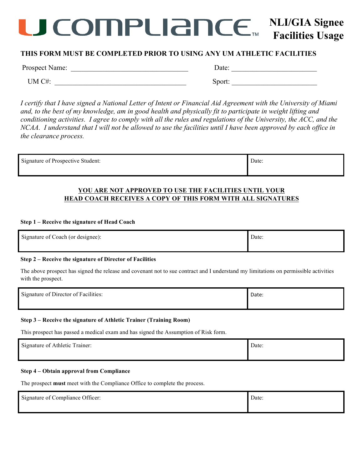## **ICOMPLIANCE NLI/GIA Signee Facilities Usage**

## **THIS FORM MUST BE COMPLETED PRIOR TO USING ANY UM ATHLETIC FACILITIES Year: 20\_\_\_**

Prospect Name: \_\_\_\_\_\_\_\_\_\_\_\_\_\_\_\_\_\_\_\_\_\_\_\_\_\_\_\_\_\_\_\_\_ Date: \_\_\_\_\_\_\_\_\_\_\_\_\_\_\_\_\_\_\_\_\_\_\_\_

UM C#: Sport:

*I certify that I have signed a National Letter of Intent or Financial Aid Agreement with the University of Miami and, to the best of my knowledge, am in good health and physically fit to participate in weight lifting and conditioning activities. I agree to comply with all the rules and regulations of the University, the ACC, and the NCAA. I understand that I will not be allowed to use the facilities until I have been approved by each office in the clearance process.*

| Signature of Prospective Student: | Date: |
|-----------------------------------|-------|
|-----------------------------------|-------|

## **YOU ARE NOT APPROVED TO USE THE FACILITIES UNTIL YOUR HEAD COACH RECEIVES A COPY OF THIS FORM WITH ALL SIGNATURES**

## **Step 1 – Receive the signature of Head Coach**

| Signature of Coach (or designee): | Date: |
|-----------------------------------|-------|
|                                   |       |

## **Step 2 – Receive the signature of Director of Facilities**

The above prospect has signed the release and covenant not to sue contract and I understand my limitations on permissible activities with the prospect.

| Signature of Director of Facilities: | Date: |
|--------------------------------------|-------|
|                                      |       |

## **Step 3 – Receive the signature of Athletic Trainer (Training Room)**

This prospect has passed a medical exam and has signed the Assumption of Risk form.

| $\sim$ $\cdot$<br>Signature of Athletic Trainer: | Date: |
|--------------------------------------------------|-------|
|                                                  |       |

## **Step 4 – Obtain approval from Compliance**

The prospect **must** meet with the Compliance Office to complete the process.

| Signature of Compliance Officer: | Date: |
|----------------------------------|-------|
|                                  |       |